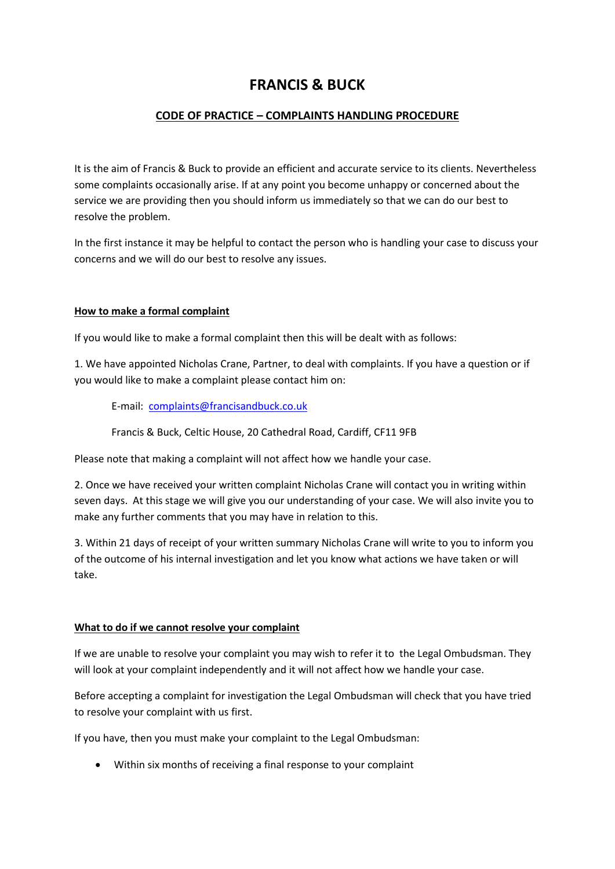# **FRANCIS & BUCK**

# **CODE OF PRACTICE – COMPLAINTS HANDLING PROCEDURE**

It is the aim of Francis & Buck to provide an efficient and accurate service to its clients. Nevertheless some complaints occasionally arise. If at any point you become unhappy or concerned about the service we are providing then you should inform us immediately so that we can do our best to resolve the problem.

In the first instance it may be helpful to contact the person who is handling your case to discuss your concerns and we will do our best to resolve any issues.

#### **How to make a formal complaint**

If you would like to make a formal complaint then this will be dealt with as follows:

1. We have appointed Nicholas Crane, Partner, to deal with complaints. If you have a question or if you would like to make a complaint please contact him on:

E-mail: [complaints@francisandbuck.co.uk](mailto:complaints@francisandbuck.co.uk)

Francis & Buck, Celtic House, 20 Cathedral Road, Cardiff, CF11 9FB

Please note that making a complaint will not affect how we handle your case.

2. Once we have received your written complaint Nicholas Crane will contact you in writing within seven days. At this stage we will give you our understanding of your case. We will also invite you to make any further comments that you may have in relation to this.

3. Within 21 days of receipt of your written summary Nicholas Crane will write to you to inform you of the outcome of his internal investigation and let you know what actions we have taken or will take.

## **What to do if we cannot resolve your complaint**

If we are unable to resolve your complaint you may wish to refer it to the Legal Ombudsman. They will look at your complaint independently and it will not affect how we handle your case.

Before accepting a complaint for investigation the Legal Ombudsman will check that you have tried to resolve your complaint with us first.

If you have, then you must make your complaint to the Legal Ombudsman:

Within six months of receiving a final response to your complaint